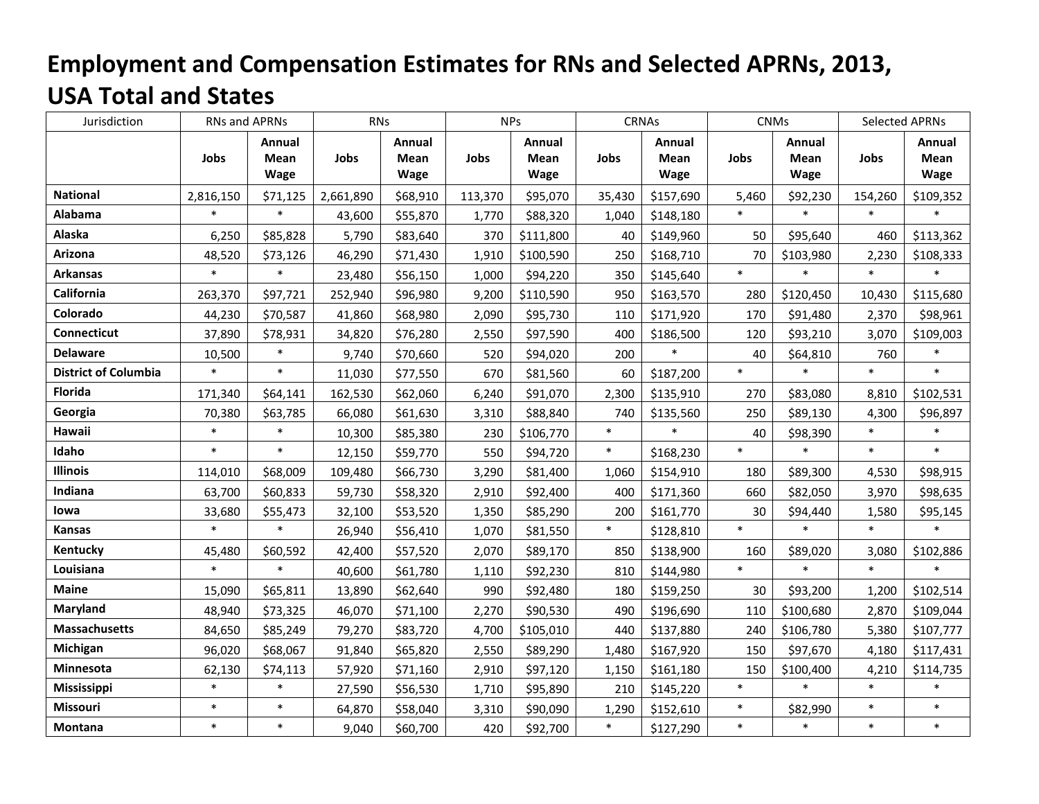## **Employment and Compensation Estimates for RNs and Selected APRNs, 2013, USA Total and States**

| Jurisdiction                | RNs and APRNs |                        | <b>RNs</b> |                               | <b>NPs</b> |                               | <b>CRNAs</b> |                               | <b>CNMs</b> |                                      | <b>Selected APRNs</b> |                        |
|-----------------------------|---------------|------------------------|------------|-------------------------------|------------|-------------------------------|--------------|-------------------------------|-------------|--------------------------------------|-----------------------|------------------------|
|                             | Jobs          | Annual<br>Mean<br>Wage | Jobs       | <b>Annual</b><br>Mean<br>Wage | Jobs       | Annual<br><b>Mean</b><br>Wage | Jobs         | Annual<br><b>Mean</b><br>Wage | Jobs        | <b>Annual</b><br><b>Mean</b><br>Wage | Jobs                  | Annual<br>Mean<br>Wage |
| <b>National</b>             | 2,816,150     | \$71,125               | 2,661,890  | \$68,910                      | 113,370    | \$95,070                      | 35,430       | \$157,690                     | 5,460       | \$92,230                             | 154,260               | \$109,352              |
| Alabama                     | $\ast$        | $\ast$                 | 43,600     | \$55,870                      | 1,770      | \$88,320                      | 1,040        | \$148,180                     | $\ast$      | $\ast$                               | $\ast$                | $\ast$                 |
| Alaska                      | 6,250         | \$85,828               | 5,790      | \$83,640                      | 370        | \$111,800                     | 40           | \$149,960                     | 50          | \$95,640                             | 460                   | \$113,362              |
| Arizona                     | 48,520        | \$73,126               | 46,290     | \$71,430                      | 1,910      | \$100,590                     | 250          | \$168,710                     | 70          | \$103,980                            | 2,230                 | \$108,333              |
| <b>Arkansas</b>             | $\ast$        | $\ast$                 | 23,480     | \$56,150                      | 1,000      | \$94,220                      | 350          | \$145,640                     | $\ast$      |                                      | $\ast$                |                        |
| California                  | 263,370       | \$97,721               | 252,940    | \$96,980                      | 9,200      | \$110,590                     | 950          | \$163,570                     | 280         | \$120,450                            | 10,430                | \$115,680              |
| Colorado                    | 44,230        | \$70,587               | 41,860     | \$68,980                      | 2,090      | \$95,730                      | 110          | \$171,920                     | 170         | \$91,480                             | 2,370                 | \$98,961               |
| <b>Connecticut</b>          | 37,890        | \$78,931               | 34,820     | \$76,280                      | 2,550      | \$97,590                      | 400          | \$186,500                     | 120         | \$93,210                             | 3,070                 | \$109,003              |
| <b>Delaware</b>             | 10,500        | $\ast$                 | 9,740      | \$70,660                      | 520        | \$94,020                      | 200          | $\ast$                        | 40          | \$64,810                             | 760                   | $\ast$                 |
| <b>District of Columbia</b> | $\ast$        | $\ast$                 | 11,030     | \$77,550                      | 670        | \$81,560                      | 60           | \$187,200                     | $\ast$      | $\ast$                               | $\ast$                | $\ast$                 |
| Florida                     | 171,340       | \$64,141               | 162,530    | \$62,060                      | 6,240      | \$91,070                      | 2,300        | \$135,910                     | 270         | \$83,080                             | 8,810                 | \$102,531              |
| Georgia                     | 70,380        | \$63,785               | 66,080     | \$61,630                      | 3,310      | \$88,840                      | 740          | \$135,560                     | 250         | \$89,130                             | 4,300                 | \$96,897               |
| Hawaii                      | $\ast$        | $\ast$                 | 10,300     | \$85,380                      | 230        | \$106,770                     | $\ast$       | $\ast$                        | 40          | \$98,390                             | $\ast$                | $\ast$                 |
| Idaho                       | $\ast$        | $\ast$                 | 12,150     | \$59,770                      | 550        | \$94,720                      | $\ast$       | \$168,230                     | $\ast$      | $\ast$                               | $\ast$                | $\ast$                 |
| <b>Illinois</b>             | 114,010       | \$68,009               | 109,480    | \$66,730                      | 3,290      | \$81,400                      | 1,060        | \$154,910                     | 180         | \$89,300                             | 4,530                 | \$98,915               |
| Indiana                     | 63,700        | \$60,833               | 59,730     | \$58,320                      | 2,910      | \$92,400                      | 400          | \$171,360                     | 660         | \$82,050                             | 3,970                 | \$98,635               |
| lowa                        | 33,680        | \$55,473               | 32,100     | \$53,520                      | 1,350      | \$85,290                      | 200          | \$161,770                     | 30          | \$94,440                             | 1,580                 | \$95,145               |
| <b>Kansas</b>               | $\ast$        | $\ast$                 | 26,940     | \$56,410                      | 1,070      | \$81,550                      | $\ast$       | \$128,810                     | $\ast$      | $\ast$                               | $\ast$                | $\ast$                 |
| Kentucky                    | 45,480        | \$60,592               | 42,400     | \$57,520                      | 2,070      | \$89,170                      | 850          | \$138,900                     | 160         | \$89,020                             | 3,080                 | \$102,886              |
| Louisiana                   | $\ast$        | $\ast$                 | 40,600     | \$61,780                      | 1,110      | \$92,230                      | 810          | \$144,980                     | $\ast$      | $\ast$                               | $\ast$                | $\ast$                 |
| <b>Maine</b>                | 15,090        | \$65,811               | 13,890     | \$62,640                      | 990        | \$92,480                      | 180          | \$159,250                     | 30          | \$93,200                             | 1,200                 | \$102,514              |
| Maryland                    | 48,940        | \$73,325               | 46,070     | \$71,100                      | 2,270      | \$90,530                      | 490          | \$196,690                     | 110         | \$100,680                            | 2,870                 | \$109,044              |
| <b>Massachusetts</b>        | 84,650        | \$85,249               | 79,270     | \$83,720                      | 4,700      | \$105,010                     | 440          | \$137,880                     | 240         | \$106,780                            | 5,380                 | \$107,777              |
| Michigan                    | 96,020        | \$68,067               | 91,840     | \$65,820                      | 2,550      | \$89,290                      | 1,480        | \$167,920                     | 150         | \$97,670                             | 4,180                 | \$117,431              |
| Minnesota                   | 62,130        | \$74,113               | 57,920     | \$71,160                      | 2,910      | \$97,120                      | 1,150        | \$161,180                     | 150         | \$100,400                            | 4,210                 | \$114,735              |
| Mississippi                 | $\ast$        | $\ast$                 | 27,590     | \$56,530                      | 1,710      | \$95,890                      | 210          | \$145,220                     | $\ast$      | $\ast$                               | $\ast$                | $\ast$                 |
| Missouri                    | $\ast$        | $\ast$                 | 64,870     | \$58,040                      | 3,310      | \$90,090                      | 1,290        | \$152,610                     | $\ast$      | \$82,990                             | $\ast$                | $\ast$                 |
| Montana                     | $\ast$        | $\ast$                 | 9,040      | \$60,700                      | 420        | \$92,700                      | $\ast$       | \$127,290                     | $\ast$      | $\ast$                               | $\ast$                | $\ast$                 |